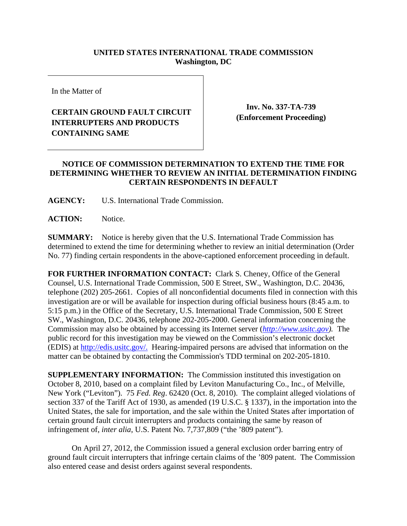## **UNITED STATES INTERNATIONAL TRADE COMMISSION Washington, DC**

In the Matter of

## **CERTAIN GROUND FAULT CIRCUIT INTERRUPTERS AND PRODUCTS CONTAINING SAME**

**Inv. No. 337-TA-739 (Enforcement Proceeding)**

## **NOTICE OF COMMISSION DETERMINATION TO EXTEND THE TIME FOR DETERMINING WHETHER TO REVIEW AN INITIAL DETERMINATION FINDING CERTAIN RESPONDENTS IN DEFAULT**

**AGENCY:** U.S. International Trade Commission.

**ACTION:** Notice.

**SUMMARY:** Notice is hereby given that the U.S. International Trade Commission has determined to extend the time for determining whether to review an initial determination (Order No. 77) finding certain respondents in the above-captioned enforcement proceeding in default.

**FOR FURTHER INFORMATION CONTACT:** Clark S. Cheney, Office of the General Counsel, U.S. International Trade Commission, 500 E Street, SW., Washington, D.C. 20436, telephone (202) 205-2661. Copies of all nonconfidential documents filed in connection with this investigation are or will be available for inspection during official business hours (8:45 a.m. to 5:15 p.m.) in the Office of the Secretary, U.S. International Trade Commission, 500 E Street SW., Washington, D.C. 20436, telephone 202-205-2000. General information concerning the Commission may also be obtained by accessing its Internet server (*http://www.usitc.gov).* The public record for this investigation may be viewed on the Commission's electronic docket (EDIS) at http://edis.usitc.gov/. Hearing-impaired persons are advised that information on the matter can be obtained by contacting the Commission's TDD terminal on 202-205-1810.

**SUPPLEMENTARY INFORMATION:** The Commission instituted this investigation on October 8, 2010, based on a complaint filed by Leviton Manufacturing Co., Inc., of Melville, New York ("Leviton"). 75 *Fed. Reg*. 62420 (Oct. 8, 2010). The complaint alleged violations of section 337 of the Tariff Act of 1930, as amended (19 U.S.C. § 1337), in the importation into the United States, the sale for importation, and the sale within the United States after importation of certain ground fault circuit interrupters and products containing the same by reason of infringement of, *inter alia*, U.S. Patent No. 7,737,809 ("the '809 patent").

On April 27, 2012, the Commission issued a general exclusion order barring entry of ground fault circuit interrupters that infringe certain claims of the '809 patent. The Commission also entered cease and desist orders against several respondents.